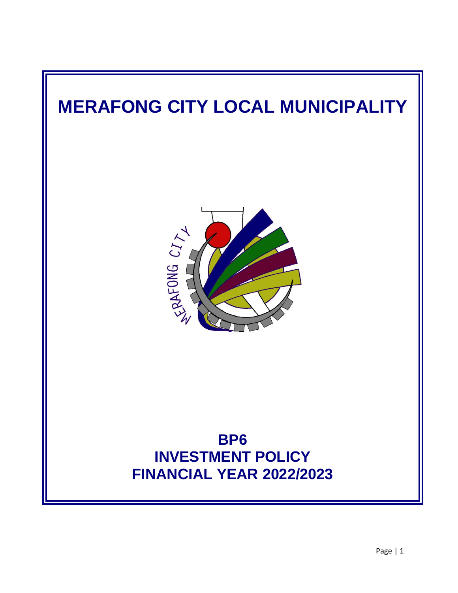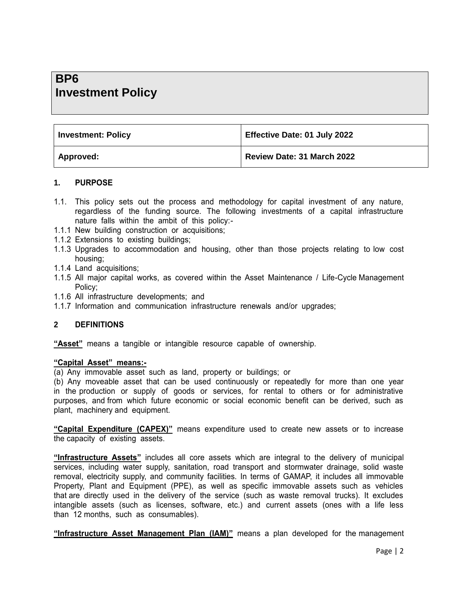# **BP6 Investment Policy**

| <b>Investment: Policy</b> | Effective Date: 01 July 2022 |
|---------------------------|------------------------------|
| Approved:                 | Review Date: 31 March 2022   |

#### **1. PURPOSE**

- 1.1. This policy sets out the process and methodology for capital investment of any nature, regardless of the funding source. The following investments of a capital infrastructure nature falls within the ambit of this policy:-
- 1.1.1 New building construction or acquisitions;
- 1.1.2 Extensions to existing buildings;
- 1.1.3 Upgrades to accommodation and housing, other than those projects relating to low cost housing;
- 1.1.4 Land acquisitions;
- 1.1.5 All major capital works, as covered within the Asset Maintenance / Life-Cycle Management Policy;
- 1.1.6 All infrastructure developments; and
- 1.1.7 Information and communication infrastructure renewals and/or upgrades;

## **2 DEFINITIONS**

**"Asset"** means a tangible or intangible resource capable of ownership.

#### **"Capital Asset" means:-**

(a) Any immovable asset such as land, property or buildings; or

(b) Any moveable asset that can be used continuously or repeatedly for more than one year in the production or supply of goods or services, for rental to others or for administrative purposes, and from which future economic or social economic benefit can be derived, such as plant, machinery and equipment.

**"Capital Expenditure (CAPEX)"** means expenditure used to create new assets or to increase the capacity of existing assets.

**"Infrastructure Assets"** includes all core assets which are integral to the delivery of municipal services, including water supply, sanitation, road transport and stormwater drainage, solid waste removal, electricity supply, and community facilities. In terms of GAMAP, it includes all immovable Property, Plant and Equipment (PPE), as well as specific immovable assets such as vehicles that are directly used in the delivery of the service (such as waste removal trucks). It excludes intangible assets (such as licenses, software, etc.) and current assets (ones with a life less than 12 months, such as consumables).

**"Infrastructure Asset Management Plan (IAM)"** means a plan developed for the management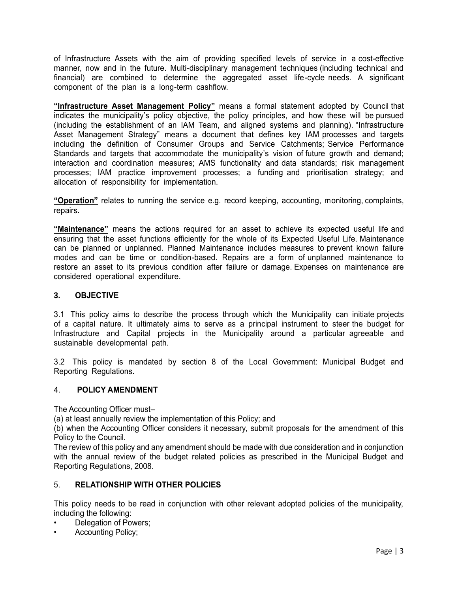of Infrastructure Assets with the aim of providing specified levels of service in a cost-effective manner, now and in the future. Multi-disciplinary management techniques (including technical and financial) are combined to determine the aggregated asset life-cycle needs. A significant component of the plan is a long-term cashflow.

**"Infrastructure Asset Management Policy"** means a formal statement adopted by Council that indicates the municipality's policy objective, the policy principles, and how these will be pursued (including the establishment of an IAM Team, and aligned systems and planning). "Infrastructure Asset Management Strategy" means a document that defines key IAM processes and targets including the definition of Consumer Groups and Service Catchments; Service Performance Standards and targets that accommodate the municipality's vision of future growth and demand; interaction and coordination measures; AMS functionality and data standards; risk management processes; IAM practice improvement processes; a funding and prioritisation strategy; and allocation of responsibility for implementation.

**"Operation"** relates to running the service e.g. record keeping, accounting, monitoring, complaints, repairs.

**"Maintenance"** means the actions required for an asset to achieve its expected useful life and ensuring that the asset functions efficiently for the whole of its Expected Useful Life. Maintenance can be planned or unplanned. Planned Maintenance includes measures to prevent known failure modes and can be time or condition-based. Repairs are a form of unplanned maintenance to restore an asset to its previous condition after failure or damage. Expenses on maintenance are considered operational expenditure.

## **3. OBJECTIVE**

3.1 This policy aims to describe the process through which the Municipality can initiate projects of a capital nature. It ultimately aims to serve as a principal instrument to steer the budget for Infrastructure and Capital projects in the Municipality around a particular agreeable and sustainable developmental path.

3.2 This policy is mandated by section 8 of the Local Government: Municipal Budget and Reporting Regulations.

## 4. **POLICY AMENDMENT**

The Accounting Officer must–

(a) at least annually review the implementation of this Policy; and

(b) when the Accounting Officer considers it necessary, submit proposals for the amendment of this Policy to the Council.

The review of this policy and any amendment should be made with due consideration and in conjunction with the annual review of the budget related policies as prescribed in the Municipal Budget and Reporting Regulations, 2008.

## 5. **RELATIONSHIP WITH OTHER POLICIES**

This policy needs to be read in conjunction with other relevant adopted policies of the municipality, including the following:

- Delegation of Powers;
- Accounting Policy;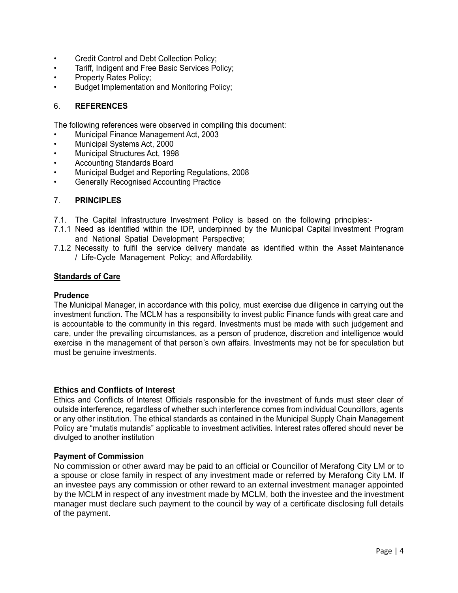- Credit Control and Debt Collection Policy;
- Tariff, Indigent and Free Basic Services Policy;
- Property Rates Policy;
- Budget Implementation and Monitoring Policy;

### 6. **REFERENCES**

The following references were observed in compiling this document:

- Municipal Finance Management Act, 2003
- Municipal Systems Act, 2000
- Municipal Structures Act, 1998
- Accounting Standards Board
- Municipal Budget and Reporting Regulations, 2008
- Generally Recognised Accounting Practice

#### 7. **PRINCIPLES**

- 7.1. The Capital Infrastructure Investment Policy is based on the following principles:-
- 7.1.1 Need as identified within the IDP, underpinned by the Municipal Capital Investment Program and National Spatial Development Perspective;
- 7.1.2 Necessity to fulfil the service delivery mandate as identified within the Asset Maintenance / Life-Cycle Management Policy; and Affordability.

#### **Standards of Care**

#### **Prudence**

The Municipal Manager, in accordance with this policy, must exercise due diligence in carrying out the investment function. The MCLM has a responsibility to invest public Finance funds with great care and is accountable to the community in this regard. Investments must be made with such judgement and care, under the prevailing circumstances, as a person of prudence, discretion and intelligence would exercise in the management of that person's own affairs. Investments may not be for speculation but must be genuine investments.

#### **Ethics and Conflicts of Interest**

Ethics and Conflicts of Interest Officials responsible for the investment of funds must steer clear of outside interference, regardless of whether such interference comes from individual Councillors, agents or any other institution. The ethical standards as contained in the Municipal Supply Chain Management Policy are "mutatis mutandis" applicable to investment activities. Interest rates offered should never be divulged to another institution

#### **Payment of Commission**

No commission or other award may be paid to an official or Councillor of Merafong City LM or to a spouse or close family in respect of any investment made or referred by Merafong City LM. If an investee pays any commission or other reward to an external investment manager appointed by the MCLM in respect of any investment made by MCLM, both the investee and the investment manager must declare such payment to the council by way of a certificate disclosing full details of the payment.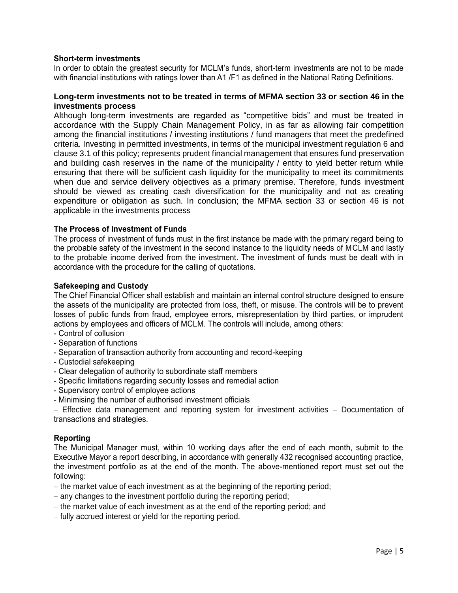#### **Short-term investments**

In order to obtain the greatest security for MCLM's funds, short-term investments are not to be made with financial institutions with ratings lower than A1 /F1 as defined in the National Rating Definitions.

#### **Long-term investments not to be treated in terms of MFMA section 33 or section 46 in the investments process**

Although long-term investments are regarded as "competitive bids" and must be treated in accordance with the Supply Chain Management Policy, in as far as allowing fair competition among the financial institutions / investing institutions / fund managers that meet the predefined criteria. Investing in permitted investments, in terms of the municipal investment regulation 6 and clause 3.1 of this policy; represents prudent financial management that ensures fund preservation and building cash reserves in the name of the municipality / entity to yield better return while ensuring that there will be sufficient cash liquidity for the municipality to meet its commitments when due and service delivery objectives as a primary premise. Therefore, funds investment should be viewed as creating cash diversification for the municipality and not as creating expenditure or obligation as such. In conclusion; the MFMA section 33 or section 46 is not applicable in the investments process

#### **The Process of Investment of Funds**

The process of investment of funds must in the first instance be made with the primary regard being to the probable safety of the investment in the second instance to the liquidity needs of MCLM and lastly to the probable income derived from the investment. The investment of funds must be dealt with in accordance with the procedure for the calling of quotations.

#### **Safekeeping and Custody**

The Chief Financial Officer shall establish and maintain an internal control structure designed to ensure the assets of the municipality are protected from loss, theft, or misuse. The controls will be to prevent losses of public funds from fraud, employee errors, misrepresentation by third parties, or imprudent actions by employees and officers of MCLM. The controls will include, among others:

- Control of collusion
- Separation of functions
- Separation of transaction authority from accounting and record-keeping
- Custodial safekeeping
- Clear delegation of authority to subordinate staff members
- Specific limitations regarding security losses and remedial action
- Supervisory control of employee actions
- Minimising the number of authorised investment officials

 $-$  Effective data management and reporting system for investment activities  $-$  Documentation of transactions and strategies.

#### **Reporting**

The Municipal Manager must, within 10 working days after the end of each month, submit to the Executive Mayor a report describing, in accordance with generally 432 recognised accounting practice, the investment portfolio as at the end of the month. The above-mentioned report must set out the following:

- $-$  the market value of each investment as at the beginning of the reporting period;
- any changes to the investment portfolio during the reporting period;
- the market value of each investment as at the end of the reporting period; and
- fully accrued interest or yield for the reporting period.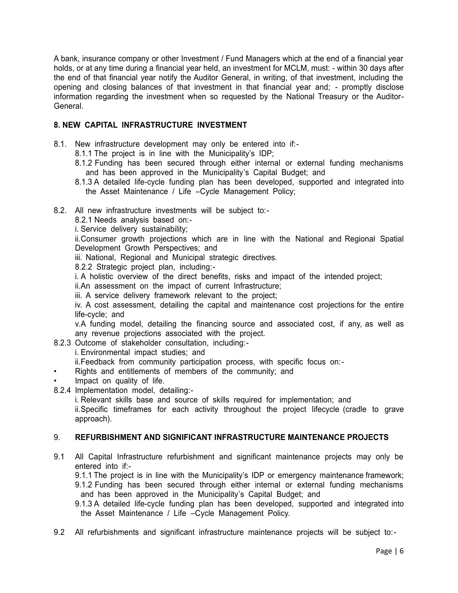A bank, insurance company or other Investment / Fund Managers which at the end of a financial year holds, or at any time during a financial year held, an investment for MCLM, must: - within 30 days after the end of that financial year notify the Auditor General, in writing, of that investment, including the opening and closing balances of that investment in that financial year and; - promptly disclose information regarding the investment when so requested by the National Treasury or the Auditor-General.

# **8. NEW CAPITAL INFRASTRUCTURE INVESTMENT**

- 8.1. New infrastructure development may only be entered into if:-
	- 8.1.1 The project is in line with the Municipality's IDP;
	- 8.1.2 Funding has been secured through either internal or external funding mechanisms and has been approved in the Municipality's Capital Budget; and
	- 8.1.3 A detailed life-cycle funding plan has been developed, supported and integrated into the Asset Maintenance / Life –Cycle Management Policy;
- 8.2. All new infrastructure investments will be subject to:-
	- 8.2.1 Needs analysis based on:-

i. Service delivery sustainability;

ii.Consumer growth projections which are in line with the National and Regional Spatial Development Growth Perspectives; and

iii. National, Regional and Municipal strategic directives.

8.2.2 Strategic project plan, including:-

i. A holistic overview of the direct benefits, risks and impact of the intended project;

ii.An assessment on the impact of current Infrastructure;

iii. A service delivery framework relevant to the project;

iv. A cost assessment, detailing the capital and maintenance cost projections for the entire life-cycle; and

v.A funding model, detailing the financing source and associated cost, if any, as well as any revenue projections associated with the project.

8.2.3 Outcome of stakeholder consultation, including:-

i. Environmental impact studies; and

ii.Feedback from community participation process, with specific focus on:-

- Rights and entitlements of members of the community; and
- Impact on quality of life.
- 8.2.4 Implementation model, detailing:-

i. Relevant skills base and source of skills required for implementation; and

ii.Specific timeframes for each activity throughout the project lifecycle (cradle to grave approach).

## 9. **REFURBISHMENT AND SIGNIFICANT INFRASTRUCTURE MAINTENANCE PROJECTS**

9.1 All Capital Infrastructure refurbishment and significant maintenance projects may only be entered into if:-

9.1.1 The project is in line with the Municipality's IDP or emergency maintenance framework; 9.1.2 Funding has been secured through either internal or external funding mechanisms and has been approved in the Municipality's Capital Budget; and

9.1.3 A detailed life-cycle funding plan has been developed, supported and integrated into the Asset Maintenance / Life –Cycle Management Policy.

9.2 All refurbishments and significant infrastructure maintenance projects will be subject to:-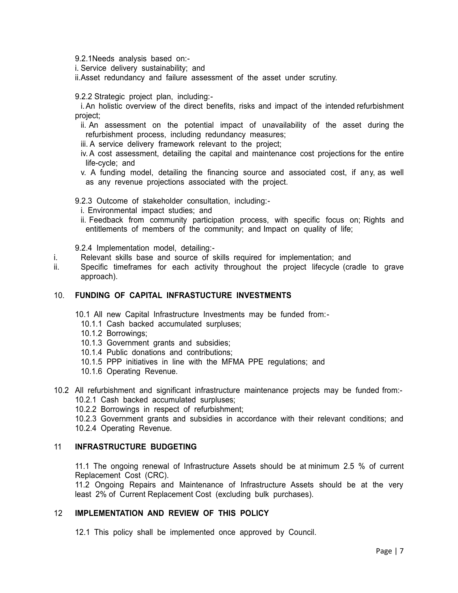9.2.1Needs analysis based on:-

i. Service delivery sustainability; and

ii.Asset redundancy and failure assessment of the asset under scrutiny.

9.2.2 Strategic project plan, including:-

i.An holistic overview of the direct benefits, risks and impact of the intended refurbishment project;

- ii. An assessment on the potential impact of unavailability of the asset during the refurbishment process, including redundancy measures;
- iii. A service delivery framework relevant to the project;
- iv. A cost assessment, detailing the capital and maintenance cost projections for the entire life-cycle; and

v. A funding model, detailing the financing source and associated cost, if any, as well as any revenue projections associated with the project.

9.2.3 Outcome of stakeholder consultation, including:-

- i. Environmental impact studies; and
- ii. Feedback from community participation process, with specific focus on; Rights and entitlements of members of the community; and Impact on quality of life;

9.2.4 Implementation model, detailing:-

- i. Relevant skills base and source of skills required for implementation; and
- ii. Specific timeframes for each activity throughout the project lifecycle (cradle to grave approach).

#### 10. **FUNDING OF CAPITAL INFRASTUCTURE INVESTMENTS**

- 10.1 All new Capital Infrastructure Investments may be funded from:-
	- 10.1.1 Cash backed accumulated surpluses;
	- 10.1.2 Borrowings;
	- 10.1.3 Government grants and subsidies;
	- 10.1.4 Public donations and contributions;
	- 10.1.5 PPP initiatives in line with the MFMA PPE regulations; and
	- 10.1.6 Operating Revenue.
- 10.2 All refurbishment and significant infrastructure maintenance projects may be funded from:- 10.2.1 Cash backed accumulated surpluses;
	- 10.2.2 Borrowings in respect of refurbishment;
	- 10.2.3 Government grants and subsidies in accordance with their relevant conditions; and
	- 10.2.4 Operating Revenue.

#### 11 **INFRASTRUCTURE BUDGETING**

11.1 The ongoing renewal of Infrastructure Assets should be at minimum 2.5 % of current Replacement Cost (CRC).

11.2 Ongoing Repairs and Maintenance of Infrastructure Assets should be at the very least 2% of Current Replacement Cost (excluding bulk purchases).

## 12 **IMPLEMENTATION AND REVIEW OF THIS POLICY**

12.1 This policy shall be implemented once approved by Council.